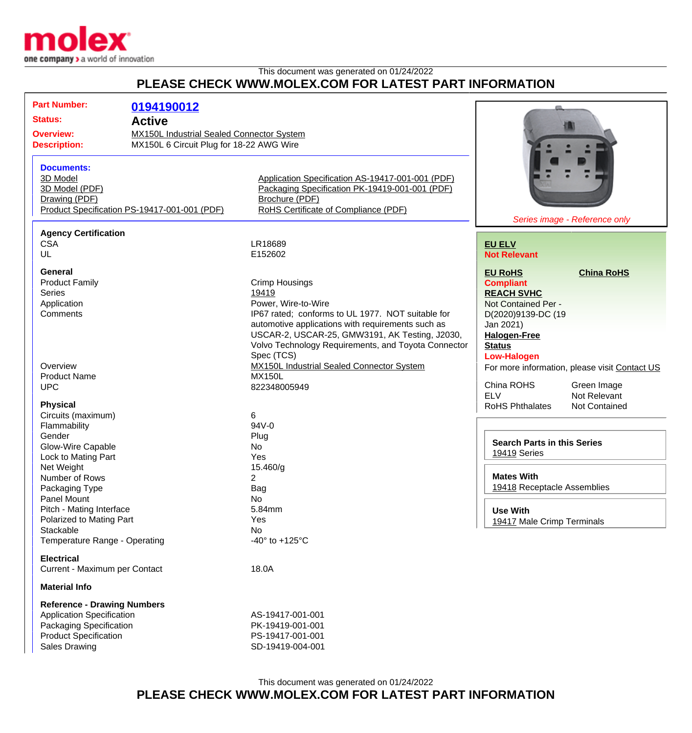

## This document was generated on 01/24/2022 **PLEASE CHECK WWW.MOLEX.COM FOR LATEST PART INFORMATION**

| <b>Part Number:</b>                | 0194190012                                       |                                                     |                                    |                                               |
|------------------------------------|--------------------------------------------------|-----------------------------------------------------|------------------------------------|-----------------------------------------------|
| <b>Status:</b><br><b>Active</b>    |                                                  |                                                     |                                    |                                               |
|                                    |                                                  |                                                     |                                    |                                               |
| <b>Overview:</b>                   | <b>MX150L Industrial Sealed Connector System</b> |                                                     |                                    |                                               |
| <b>Description:</b>                | MX150L 6 Circuit Plug for 18-22 AWG Wire         |                                                     |                                    |                                               |
|                                    |                                                  |                                                     |                                    |                                               |
| <b>Documents:</b>                  |                                                  |                                                     |                                    |                                               |
| 3D Model                           |                                                  | Application Specification AS-19417-001-001 (PDF)    |                                    |                                               |
| 3D Model (PDF)                     |                                                  | Packaging Specification PK-19419-001-001 (PDF)      |                                    |                                               |
|                                    |                                                  |                                                     |                                    |                                               |
| Drawing (PDF)                      |                                                  | Brochure (PDF)                                      |                                    |                                               |
|                                    | Product Specification PS-19417-001-001 (PDF)     | RoHS Certificate of Compliance (PDF)                |                                    |                                               |
|                                    |                                                  |                                                     | Series image - Reference only      |                                               |
| <b>Agency Certification</b>        |                                                  |                                                     |                                    |                                               |
| <b>CSA</b>                         |                                                  | LR18689                                             | <b>EU ELV</b>                      |                                               |
| UL                                 |                                                  | E152602                                             | <b>Not Relevant</b>                |                                               |
|                                    |                                                  |                                                     |                                    |                                               |
| <b>General</b>                     |                                                  |                                                     | <b>EU RoHS</b>                     | <b>China RoHS</b>                             |
| <b>Product Family</b>              |                                                  | <b>Crimp Housings</b>                               | <b>Compliant</b>                   |                                               |
| <b>Series</b>                      |                                                  | 19419                                               | <b>REACH SVHC</b>                  |                                               |
| Application                        |                                                  | Power, Wire-to-Wire                                 | Not Contained Per -                |                                               |
| Comments                           |                                                  | IP67 rated; conforms to UL 1977. NOT suitable for   | D(2020)9139-DC (19                 |                                               |
|                                    |                                                  | automotive applications with requirements such as   |                                    |                                               |
|                                    |                                                  |                                                     | Jan 2021)                          |                                               |
|                                    |                                                  | USCAR-2, USCAR-25, GMW3191, AK Testing, J2030,      | <b>Halogen-Free</b>                |                                               |
|                                    |                                                  | Volvo Technology Requirements, and Toyota Connector | <b>Status</b>                      |                                               |
|                                    |                                                  | Spec (TCS)                                          | <b>Low-Halogen</b>                 |                                               |
| Overview                           |                                                  | MX150L Industrial Sealed Connector System           |                                    | For more information, please visit Contact US |
| <b>Product Name</b>                |                                                  | <b>MX150L</b>                                       |                                    |                                               |
| <b>UPC</b>                         |                                                  | 822348005949                                        | China ROHS                         | Green Image                                   |
|                                    |                                                  |                                                     | <b>ELV</b>                         | Not Relevant                                  |
| <b>Physical</b>                    |                                                  |                                                     | <b>RoHS Phthalates</b>             | Not Contained                                 |
| Circuits (maximum)                 |                                                  | 6                                                   |                                    |                                               |
| Flammability                       |                                                  | 94V-0                                               |                                    |                                               |
| Gender                             |                                                  | Plug                                                |                                    |                                               |
| Glow-Wire Capable                  |                                                  | <b>No</b>                                           | <b>Search Parts in this Series</b> |                                               |
| Lock to Mating Part                |                                                  | Yes                                                 | 19419 Series                       |                                               |
| Net Weight                         |                                                  | 15.460/g                                            |                                    |                                               |
| Number of Rows                     |                                                  | $\overline{2}$                                      | <b>Mates With</b>                  |                                               |
|                                    |                                                  |                                                     | 19418 Receptacle Assemblies        |                                               |
| Packaging Type                     |                                                  | Bag                                                 |                                    |                                               |
| Panel Mount                        |                                                  | <b>No</b>                                           |                                    |                                               |
| Pitch - Mating Interface           |                                                  | 5.84mm                                              | <b>Use With</b>                    |                                               |
| Polarized to Mating Part           |                                                  | Yes                                                 | 19417 Male Crimp Terminals         |                                               |
| Stackable                          |                                                  | <b>No</b>                                           |                                    |                                               |
| Temperature Range - Operating      |                                                  | -40 $\degree$ to +125 $\degree$ C                   |                                    |                                               |
|                                    |                                                  |                                                     |                                    |                                               |
| <b>Electrical</b>                  |                                                  |                                                     |                                    |                                               |
| Current - Maximum per Contact      |                                                  | 18.0A                                               |                                    |                                               |
| <b>Material Info</b>               |                                                  |                                                     |                                    |                                               |
|                                    |                                                  |                                                     |                                    |                                               |
| <b>Reference - Drawing Numbers</b> |                                                  |                                                     |                                    |                                               |
| <b>Application Specification</b>   |                                                  | AS-19417-001-001                                    |                                    |                                               |
| Packaging Specification            |                                                  | PK-19419-001-001                                    |                                    |                                               |
| <b>Product Specification</b>       |                                                  | PS-19417-001-001                                    |                                    |                                               |
| Sales Drawing                      |                                                  | SD-19419-004-001                                    |                                    |                                               |